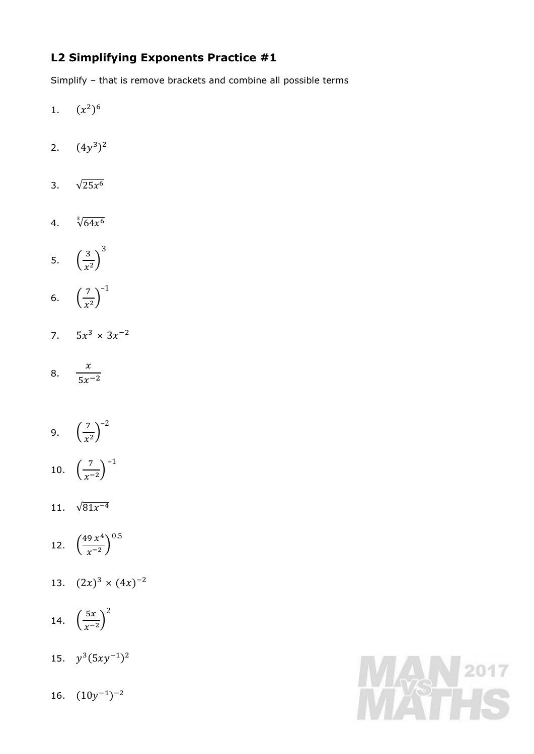## **L2 Simplifying Exponents Practice #1**

Simplify – that is remove brackets and combine all possible terms

- 1.  $(x^2)^6$
- 2.  $(4y^3)^2$
- 3.  $\sqrt{25x^6}$
- 4.  $\sqrt[3]{64x^6}$
- 5. ( 3  $\frac{3}{x^2}$ 3
- 6.  $\left(\frac{7}{x}\right)$  $\frac{1}{x^2}$ –1
- 7.  $5x^3 \times 3x^{-2}$
- 8.  $\mathcal{X}$  $\frac{1}{5x^{-2}}$
- 9.  $\left(\frac{7}{x}\right)$  $\left(\frac{7}{x^2}\right)^{-2}$
- 10.  $\left(\frac{7}{x^2}\right)$  $\left(\frac{7}{x^{-2}}\right)^{-1}$
- 11.  $\sqrt{81x^{-4}}$
- 12.  $\left(\frac{49 x^4}{x-2}\right)$  $\left(\frac{9 x^4}{x^{-2}}\right)^{0.5}$
- 13.  $(2x)^3 \times (4x)^{-2}$
- 14.  $\left(\frac{5x}{x-1}\right)$  $\left(\frac{3x}{x-2}\right)$ 2
- 15.  $y^3(5xy^{-1})^2$
- 16.  $(10y^{-1})^{-2}$